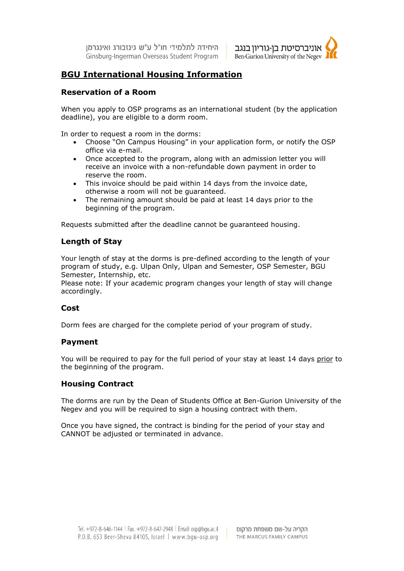היחידה לתלמידי חו"ל ע"ש גינזבורג ואינגרמו Ginsburg-Ingerman Overseas Student Program



# **BGU International Housing Information**

# **Reservation of a Room**

When you apply to OSP programs as an international student (by the application deadline), you are eligible to a dorm room.

In order to request a room in the dorms:

- Choose "On Campus Housing" in your application form, or notify the OSP office via e-mail.
- Once accepted to the program, along with an admission letter you will receive an invoice with a non-refundable down payment in order to reserve the room.
- This invoice should be paid within 14 days from the invoice date, otherwise a room will not be guaranteed.
- The remaining amount should be paid at least 14 days prior to the beginning of the program.

Requests submitted after the deadline cannot be guaranteed housing.

# **Length of Stay**

Your length of stay at the dorms is pre-defined according to the length of your program of study, e.g. Ulpan Only, Ulpan and Semester, OSP Semester, BGU Semester, Internship, etc.

Please note: If your academic program changes your length of stay will change accordingly.

# **Cost**

Dorm fees are charged for the complete period of your program of study.

# **Payment**

You will be required to pay for the full period of your stay at least 14 days prior to the beginning of the program.

#### **Housing Contract**

The dorms are run by the Dean of Students Office at Ben-Gurion University of the Negev and you will be required to sign a housing contract with them.

Once you have signed, the contract is binding for the period of your stay and CANNOT be adjusted or terminated in advance.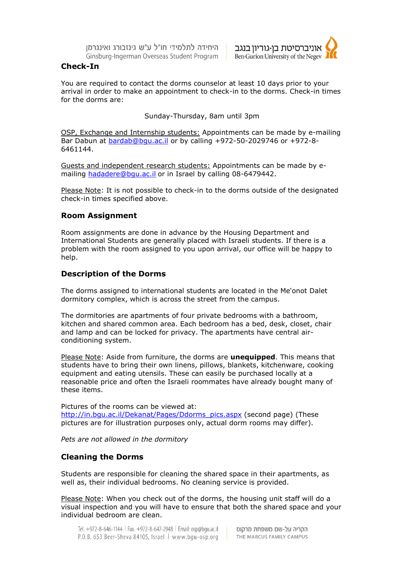היחידה לתלמידי חו"ל ע"ש גינזבורג ואינגרמן Ginsburg-Ingerman Overseas Student Program



### **Check-In**

You are required to contact the dorms counselor at least 10 days prior to your arrival in order to make an appointment to check-in to the dorms. Check-in times for the dorms are:

Sunday-Thursday, 8am until 3pm

OSP, Exchange and Internship students: Appointments can be made by e-mailing Bar Dabun at [bardab@bgu.ac.il](mailto:bardabun@bgu.ac.il) or by calling +972-50-2029746 or +972-8- 6461144.

Guests and independent research students: Appointments can be made by emailing hadadere@bqu.ac.il or in Israel by calling 08-6479442.

Please Note: It is not possible to check-in to the dorms outside of the designated check-in times specified above.

#### **Room Assignment**

Room assignments are done in advance by the Housing Department and International Students are generally placed with Israeli students. If there is a problem with the room assigned to you upon arrival, our office will be happy to help.

#### **Description of the Dorms**

The dorms assigned to international students are located in the Me'onot Dalet dormitory complex, which is across the street from the campus.

The dormitories are apartments of four private bedrooms with a bathroom, kitchen and shared common area. Each bedroom has a bed, desk, closet, chair and lamp and can be locked for privacy. The apartments have central airconditioning system.

Please Note: Aside from furniture, the dorms are **unequipped**. This means that students have to bring their own linens, pillows, blankets, kitchenware, cooking equipment and eating utensils. These can easily be purchased locally at a reasonable price and often the Israeli roommates have already bought many of these items.

Pictures of the rooms can be viewed at: http://in.bgu.ac.il/Dekanat/Pages/Ddorms\_pics.aspx (second page) (These pictures are for illustration purposes only, actual dorm rooms may differ).

*Pets are not allowed in the dormitory*

#### **Cleaning the Dorms**

Students are responsible for cleaning the shared space in their apartments, as well as, their individual bedrooms. No cleaning service is provided.

Please Note: When you check out of the dorms, the housing unit staff will do a visual inspection and you will have to ensure that both the shared space and your individual bedroom are clean.